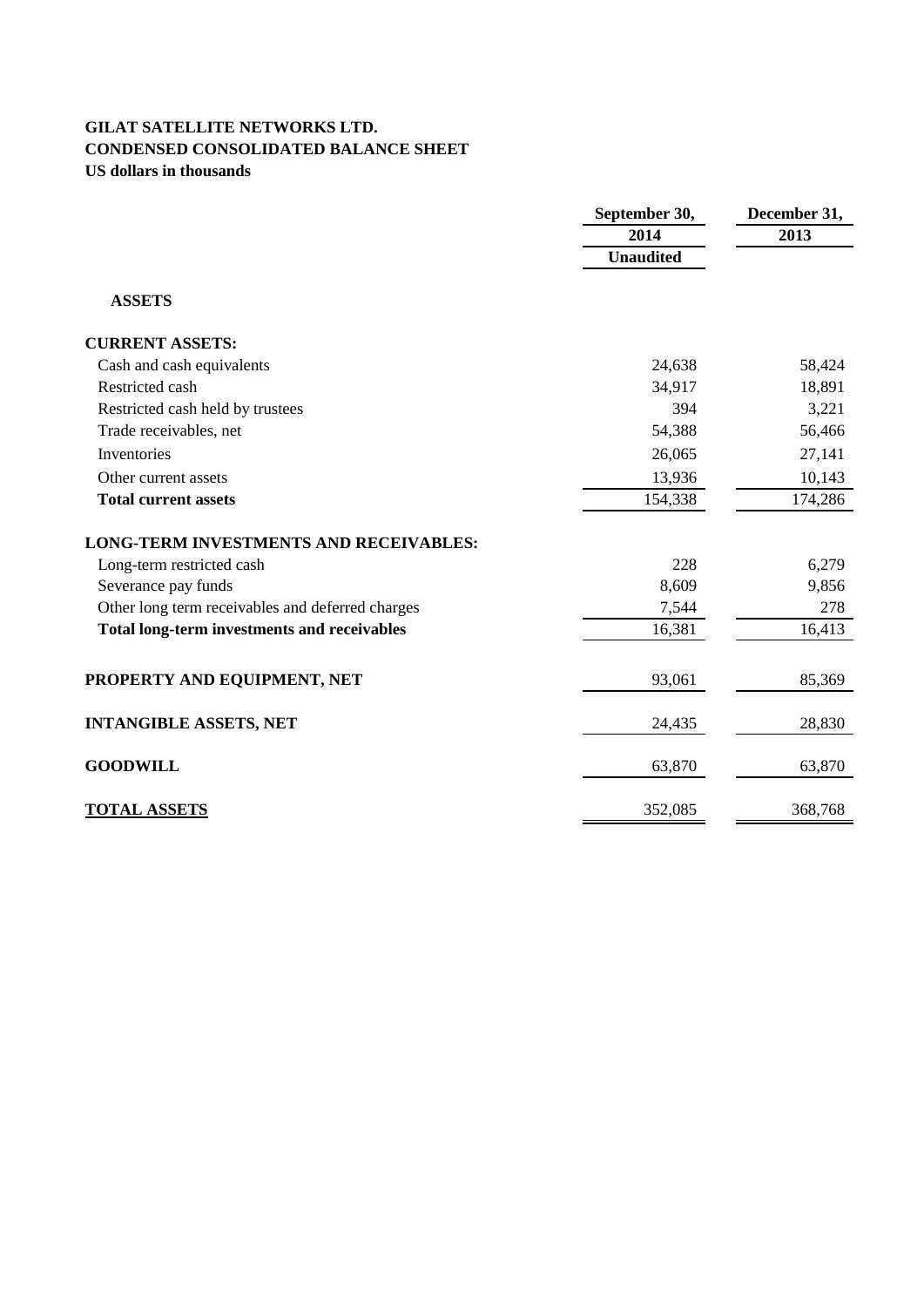# **GILAT SATELLITE NETWORKS LTD. CONDENSED CONSOLIDATED BALANCE SHEET US dollars in thousands**

|                                                    | September 30,    | December 31, |
|----------------------------------------------------|------------------|--------------|
|                                                    | 2014             | 2013         |
|                                                    | <b>Unaudited</b> |              |
| <b>ASSETS</b>                                      |                  |              |
| <b>CURRENT ASSETS:</b>                             |                  |              |
| Cash and cash equivalents                          | 24,638           | 58,424       |
| Restricted cash                                    | 34,917           | 18,891       |
| Restricted cash held by trustees                   | 394              | 3,221        |
| Trade receivables, net                             | 54,388           | 56,466       |
| Inventories                                        | 26,065           | 27,141       |
| Other current assets                               | 13,936           | 10,143       |
| <b>Total current assets</b>                        | 154,338          | 174,286      |
| <b>LONG-TERM INVESTMENTS AND RECEIVABLES:</b>      |                  |              |
| Long-term restricted cash                          | 228              | 6,279        |
| Severance pay funds                                | 8,609            | 9,856        |
| Other long term receivables and deferred charges   | 7,544            | 278          |
| <b>Total long-term investments and receivables</b> | 16,381           | 16,413       |
| PROPERTY AND EQUIPMENT, NET                        | 93,061           | 85,369       |
| <b>INTANGIBLE ASSETS, NET</b>                      | 24,435           | 28,830       |
| <b>GOODWILL</b>                                    | 63,870           | 63,870       |
| <b>TOTAL ASSETS</b>                                | 352,085          | 368,768      |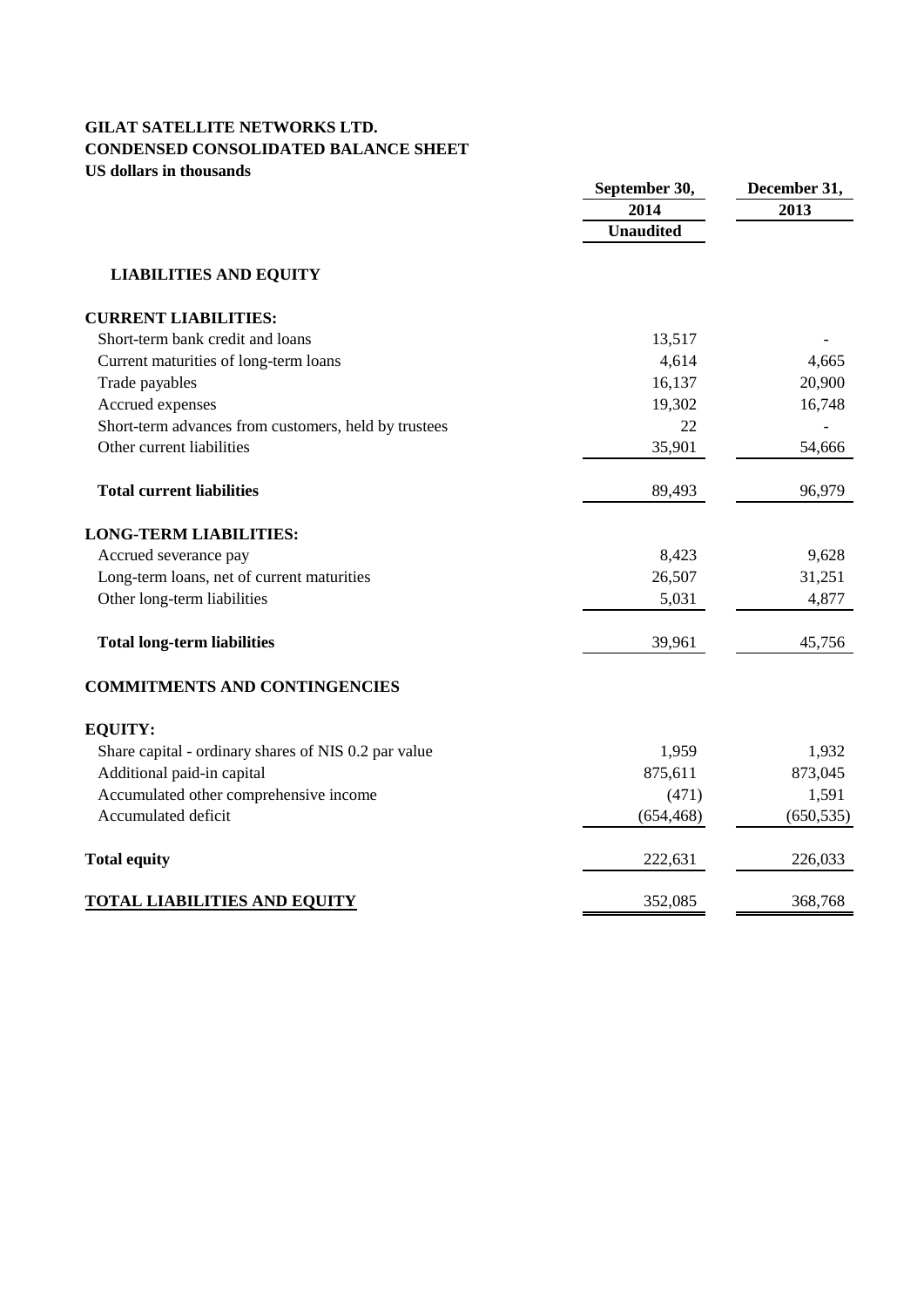# **GILAT SATELLITE NETWORKS LTD. CONDENSED CONSOLIDATED BALANCE SHEET US dollars in thousands**

| US GONAL'S III UNOUSANGS                             | September 30,            | December 31, |  |
|------------------------------------------------------|--------------------------|--------------|--|
|                                                      | 2014<br><b>Unaudited</b> | 2013         |  |
| <b>LIABILITIES AND EQUITY</b>                        |                          |              |  |
| <b>CURRENT LIABILITIES:</b>                          |                          |              |  |
| Short-term bank credit and loans                     | 13,517                   |              |  |
| Current maturities of long-term loans                | 4,614                    | 4,665        |  |
| Trade payables                                       | 16,137                   | 20,900       |  |
| Accrued expenses                                     | 19,302                   | 16,748       |  |
| Short-term advances from customers, held by trustees | 22                       |              |  |
| Other current liabilities                            | 35,901                   | 54,666       |  |
| <b>Total current liabilities</b>                     | 89,493                   | 96,979       |  |
| <b>LONG-TERM LIABILITIES:</b>                        |                          |              |  |
| Accrued severance pay                                | 8,423                    | 9,628        |  |
| Long-term loans, net of current maturities           | 26,507                   | 31,251       |  |
| Other long-term liabilities                          | 5,031                    | 4,877        |  |
| <b>Total long-term liabilities</b>                   | 39,961                   | 45,756       |  |
| <b>COMMITMENTS AND CONTINGENCIES</b>                 |                          |              |  |
| <b>EQUITY:</b>                                       |                          |              |  |
| Share capital - ordinary shares of NIS 0.2 par value | 1,959                    | 1,932        |  |
| Additional paid-in capital                           | 875,611                  | 873,045      |  |
| Accumulated other comprehensive income               | (471)                    | 1,591        |  |
| Accumulated deficit                                  | (654, 468)               | (650, 535)   |  |
| <b>Total equity</b>                                  | 222,631                  | 226,033      |  |
| <b>TOTAL LIABILITIES AND EQUITY</b>                  | 352,085                  | 368,768      |  |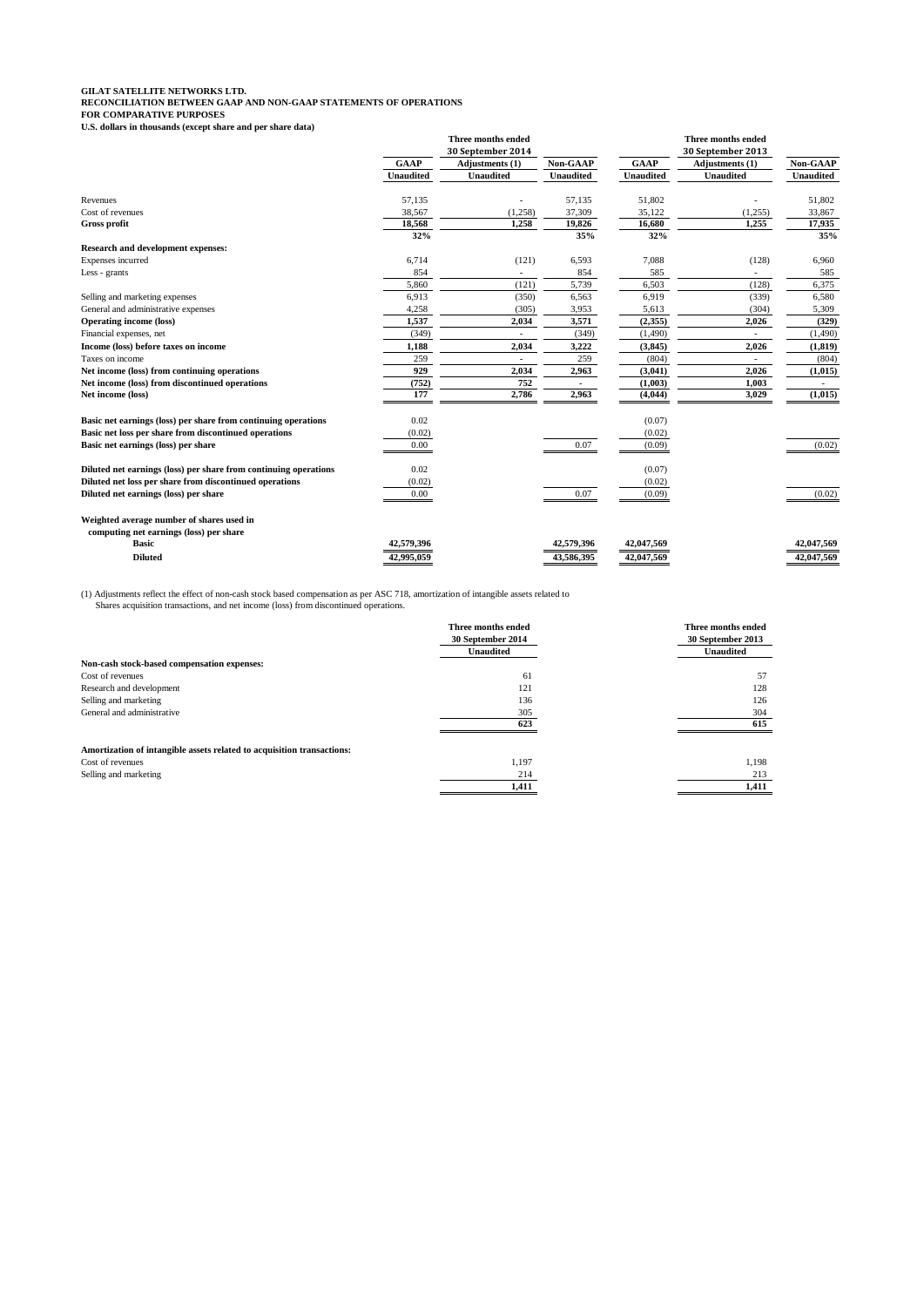**GILAT SATELLITE NETWORKS LTD. RECONCILIATION BETWEEN GAAP AND NON-GAAP STATEMENTS OF OPERATIONS FOR COMPARATIVE PURPOSES U.S. dollars in thousands (except share and per share data)**

|                                                                  |                  | Three months ended       |                  |                  | Three months ended       |                  |
|------------------------------------------------------------------|------------------|--------------------------|------------------|------------------|--------------------------|------------------|
|                                                                  |                  | 30 September 2014        |                  |                  | 30 September 2013        |                  |
|                                                                  | <b>GAAP</b>      | Adjustments (1)          | Non-GAAP         | <b>GAAP</b>      | Adjustments (1)          | Non-GAAP         |
|                                                                  | <b>Unaudited</b> | <b>Unaudited</b>         | <b>Unaudited</b> | <b>Unaudited</b> | <b>Unaudited</b>         | <b>Unaudited</b> |
| Revenues                                                         | 57,135           |                          | 57,135           | 51,802           |                          | 51,802           |
| Cost of revenues                                                 | 38,567           | (1,258)                  | 37,309           | 35,122           | (1,255)                  | 33,867           |
| <b>Gross profit</b>                                              | 18,568           | 1,258                    | 19,826           | 16,680           | 1,255                    | 17,935           |
|                                                                  | 32%              |                          | 35%              | 32%              |                          | 35%              |
| <b>Research and development expenses:</b>                        |                  |                          |                  |                  |                          |                  |
| Expenses incurred                                                | 6,714            | (121)                    | 6,593            | 7,088            | (128)                    | 6,960            |
| Less - grants                                                    | 854              |                          | 854              | 585              |                          | 585              |
|                                                                  | 5,860            | (121)                    | 5,739            | 6,503            | (128)                    | 6,375            |
| Selling and marketing expenses                                   | 6.913            | (350)                    | 6,563            | 6,919            | (339)                    | 6,580            |
| General and administrative expenses                              | 4,258            | (305)                    | 3,953            | 5,613            | (304)                    | 5,309            |
| <b>Operating income (loss)</b>                                   | 1,537            | 2,034                    | 3,571            | (2,355)          | 2,026                    | (329)            |
| Financial expenses, net                                          | (349)            | $\overline{\phantom{a}}$ | (349)            | (1,490)          | $\overline{\phantom{a}}$ | (1, 490)         |
| Income (loss) before taxes on income                             | 1,188            | 2,034                    | 3,222            | (3, 845)         | 2,026                    | (1, 819)         |
| Taxes on income                                                  | 259              |                          | 259              | (804)            |                          | (804)            |
| Net income (loss) from continuing operations                     | 929              | 2,034                    | 2,963            | (3,041)          | 2,026                    | (1,015)          |
| Net income (loss) from discontinued operations                   | (752)            | 752                      |                  | (1,003)          | 1,003                    |                  |
| Net income (loss)                                                | 177              | 2,786                    | 2,963            | (4,044)          | 3,029                    | (1,015)          |
| Basic net earnings (loss) per share from continuing operations   | 0.02             |                          |                  | (0.07)           |                          |                  |
| Basic net loss per share from discontinued operations            | (0.02)           |                          |                  | (0.02)           |                          |                  |
| Basic net earnings (loss) per share                              | 0.00             |                          | 0.07             | (0.09)           |                          | (0.02)           |
| Diluted net earnings (loss) per share from continuing operations | 0.02             |                          |                  | (0.07)           |                          |                  |
| Diluted net loss per share from discontinued operations          | (0.02)           |                          |                  | (0.02)           |                          |                  |
| Diluted net earnings (loss) per share                            | 0.00             |                          | 0.07             | (0.09)           |                          | (0.02)           |
| Weighted average number of shares used in                        |                  |                          |                  |                  |                          |                  |
| computing net earnings (loss) per share                          |                  |                          |                  |                  |                          |                  |
| <b>Basic</b>                                                     | 42,579,396       |                          | 42,579,396       | 42,047,569       |                          | 42,047,569       |
| <b>Diluted</b>                                                   | 42,995,059       |                          | 43,586,395       | 42,047,569       |                          | 42,047,569       |
|                                                                  |                  |                          |                  |                  |                          |                  |

(1) Adjustments reflect the effect of non-cash stock based compensation as per ASC 718, amortization of intangible assets related to Shares acquisition transactions, and net income (loss) from discontinued operations.

|                                                                        | Three months ended<br>30 September 2014<br><b>Unaudited</b> | Three months ended<br>30 September 2013<br><b>Unaudited</b> |
|------------------------------------------------------------------------|-------------------------------------------------------------|-------------------------------------------------------------|
| Non-cash stock-based compensation expenses:                            |                                                             |                                                             |
| Cost of revenues                                                       | 61                                                          | 57                                                          |
| Research and development                                               | 121                                                         | 128                                                         |
| Selling and marketing                                                  | 136                                                         | 126                                                         |
| General and administrative                                             | 305                                                         | 304                                                         |
|                                                                        | 623                                                         | 615                                                         |
| Amortization of intangible assets related to acquisition transactions: |                                                             |                                                             |
| Cost of revenues                                                       | 1.197                                                       | 1.198                                                       |
| Selling and marketing                                                  | 214                                                         | 213                                                         |
|                                                                        | 1,411                                                       | 1,411                                                       |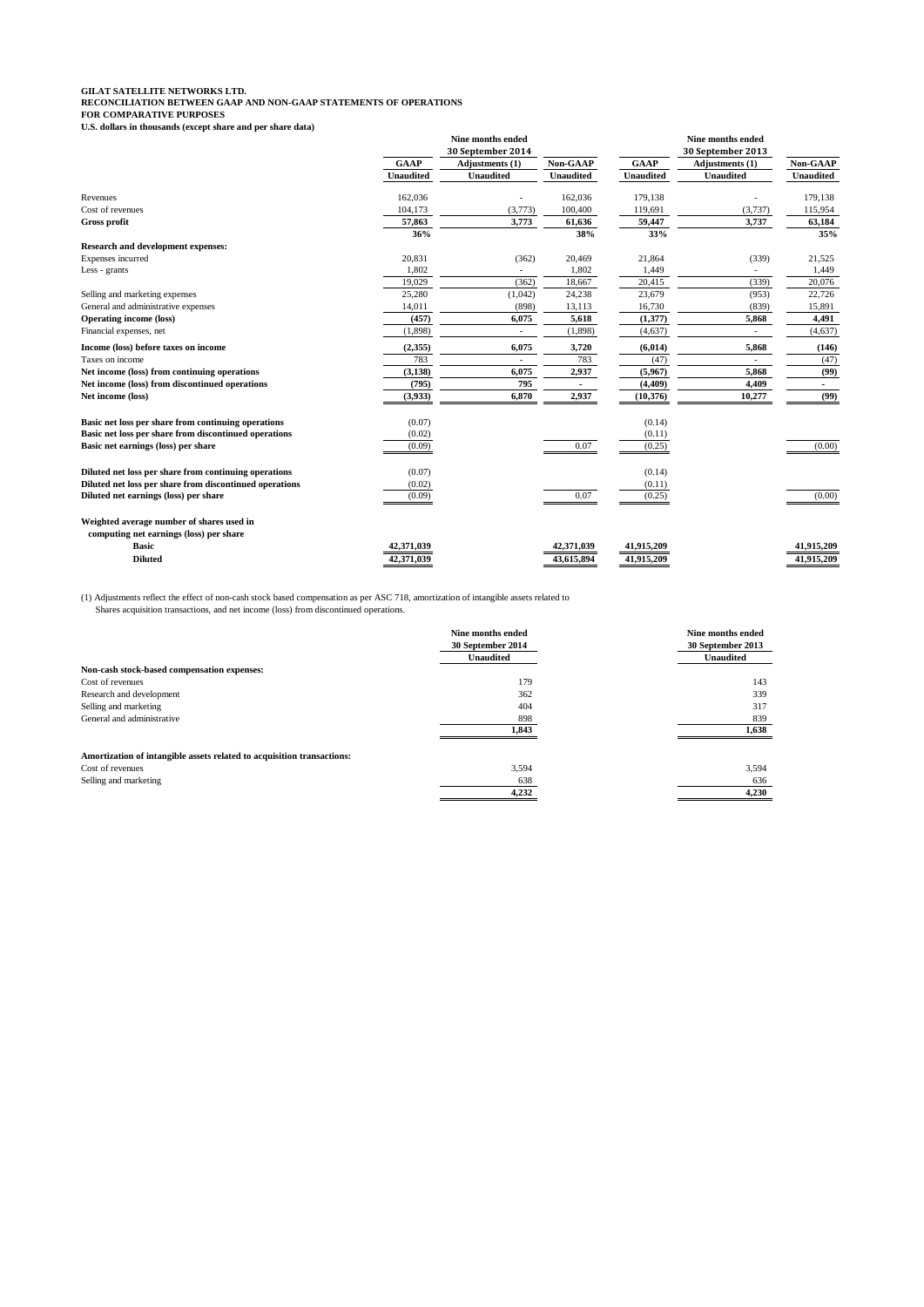**GILAT SATELLITE NETWORKS LTD. RECONCILIATION BETWEEN GAAP AND NON-GAAP STATEMENTS OF OPERATIONS FOR COMPARATIVE PURPOSES U.S. dollars in thousands (except share and per share data)**

| с.э. донагз ні тиопзандз (слеерт знаге анд рег знаге дата) |                  | Nine months ended<br>30 September 2014 |                  |                  | <b>Nine months ended</b><br>30 September 2013 |                  |
|------------------------------------------------------------|------------------|----------------------------------------|------------------|------------------|-----------------------------------------------|------------------|
|                                                            | <b>GAAP</b>      | Adjustments (1)                        | Non-GAAP         | <b>GAAP</b>      | Adjustments (1)                               | Non-GAAP         |
|                                                            | <b>Unaudited</b> | <b>Unaudited</b>                       | <b>Unaudited</b> | <b>Unaudited</b> | <b>Unaudited</b>                              | <b>Unaudited</b> |
| Revenues                                                   | 162,036          |                                        | 162,036          | 179,138          |                                               | 179,138          |
| Cost of revenues                                           | 104,173          | (3,773)                                | 100,400          | 119,691          | (3,737)                                       | 115,954          |
| Gross profit                                               | 57,863           | 3,773                                  | 61,636           | 59,447           | 3,737                                         | 63,184           |
|                                                            | 36%              |                                        | 38%              | 33%              |                                               | 35%              |
| Research and development expenses:                         |                  |                                        |                  |                  |                                               |                  |
| Expenses incurred                                          | 20,831           | (362)                                  | 20,469           | 21,864           | (339)                                         | 21,525           |
| Less - grants                                              | 1,802            |                                        | 1,802            | 1,449            | $\sim$                                        | 1,449            |
|                                                            | 19,029           | (362)                                  | 18,667           | 20,415           | (339)                                         | 20,076           |
| Selling and marketing expenses                             | 25,280           | (1,042)                                | 24,238           | 23,679           | (953)                                         | 22,726           |
| General and administrative expenses                        | 14,011           | (898)                                  | 13,113           | 16,730           | (839)                                         | 15,891           |
| <b>Operating income (loss)</b>                             | (457)            | 6,075                                  | 5,618            | (1,377)          | 5,868                                         | 4,491            |
| Financial expenses, net                                    | (1,898)          | $\sim$                                 | (1,898)          | (4,637)          |                                               | (4,637)          |
| Income (loss) before taxes on income                       | (2,355)          | 6,075                                  | 3,720            | (6, 014)         | 5,868                                         | (146)            |
| Taxes on income                                            | 783              |                                        | 783              | (47)             |                                               | (47)             |
| Net income (loss) from continuing operations               | (3, 138)         | 6,075                                  | 2,937            | (5,967)          | 5,868                                         | (99)             |
| Net income (loss) from discontinued operations             | (795)            | 795                                    |                  | (4, 409)         | 4,409                                         |                  |
| Net income (loss)                                          | (3,933)          | 6,870                                  | 2,937            | (10, 376)        | 10,277                                        | (99)             |
| Basic net loss per share from continuing operations        | (0.07)           |                                        |                  | (0.14)           |                                               |                  |
| Basic net loss per share from discontinued operations      | (0.02)           |                                        |                  | (0.11)           |                                               |                  |
| Basic net earnings (loss) per share                        | (0.09)           |                                        | 0.07             | (0.25)           |                                               | (0.00)           |
|                                                            |                  |                                        |                  |                  |                                               |                  |
| Diluted net loss per share from continuing operations      | (0.07)           |                                        |                  | (0.14)           |                                               |                  |
| Diluted net loss per share from discontinued operations    | (0.02)           |                                        |                  | (0.11)           |                                               |                  |
| Diluted net earnings (loss) per share                      | (0.09)           |                                        | 0.07             | (0.25)           |                                               | (0.00)           |
| Weighted average number of shares used in                  |                  |                                        |                  |                  |                                               |                  |
| computing net earnings (loss) per share                    |                  |                                        |                  |                  |                                               |                  |
| <b>Basic</b>                                               | 42,371,039       |                                        | 42,371,039       | 41,915,209       |                                               | 41,915,209       |
| <b>Diluted</b>                                             | 42,371,039       |                                        | 43.615.894       | 41.915.209       |                                               | 41,915,209       |
|                                                            |                  |                                        |                  |                  |                                               |                  |

(1) Adjustments reflect the effect of non-cash stock based compensation as per ASC 718, amortization of intangible assets related to Shares acquisition transactions, and net income (loss) from discontinued operations.

|                                                                        | Nine months ended<br>30 September 2014 | Nine months ended<br>30 September 2013 |
|------------------------------------------------------------------------|----------------------------------------|----------------------------------------|
|                                                                        | <b>Unaudited</b>                       | <b>Unaudited</b>                       |
| Non-cash stock-based compensation expenses:                            |                                        |                                        |
| Cost of revenues                                                       | 179                                    | 143                                    |
| Research and development                                               | 362                                    | 339                                    |
| Selling and marketing                                                  | 404                                    | 317                                    |
| General and administrative                                             | 898                                    | 839                                    |
|                                                                        | 1,843                                  | 1,638                                  |
| Amortization of intangible assets related to acquisition transactions: |                                        |                                        |
| Cost of revenues                                                       | 3.594                                  | 3,594                                  |
| Selling and marketing                                                  | 638                                    | 636                                    |
|                                                                        | 4,232                                  | 4,230                                  |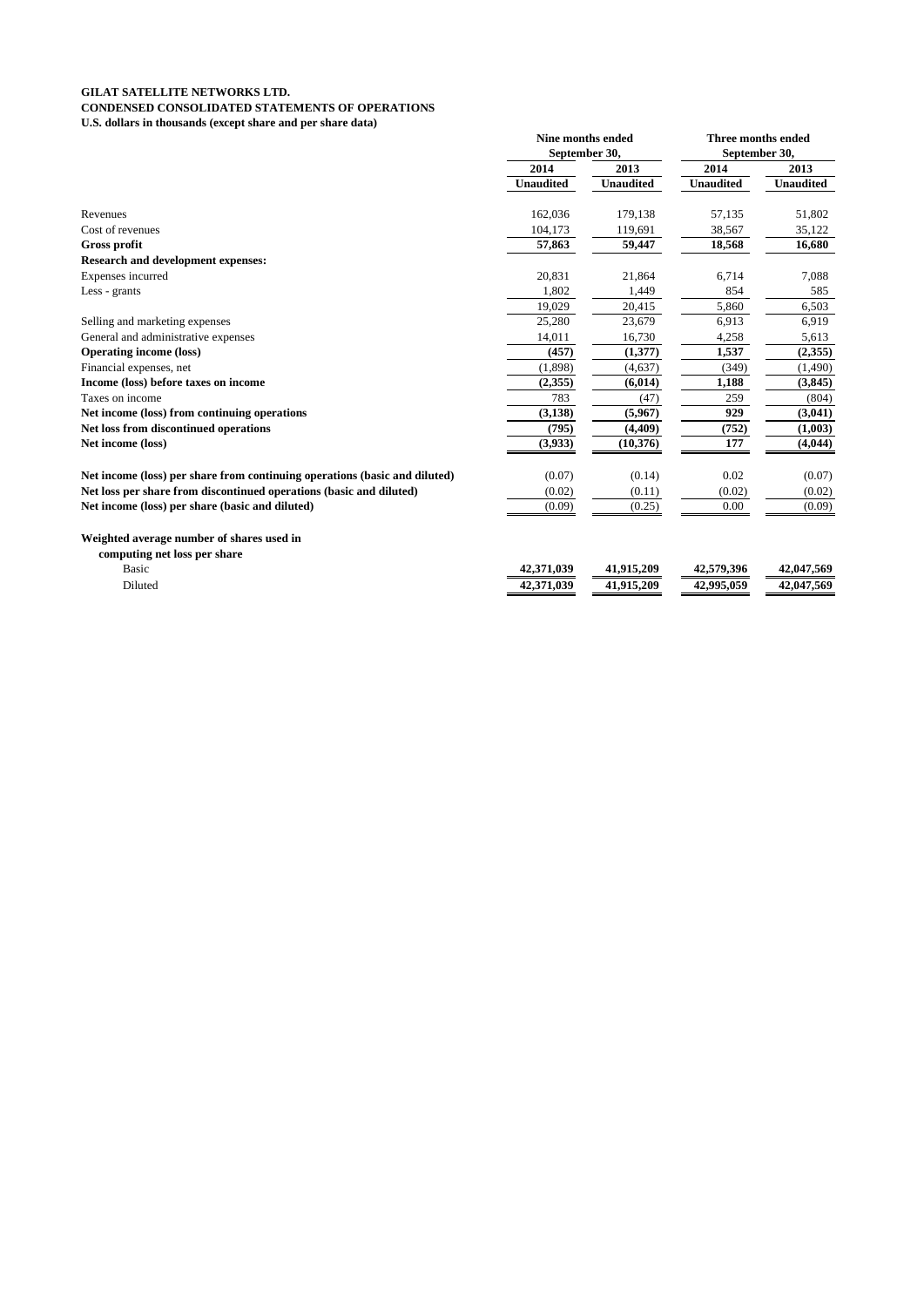### **GILAT SATELLITE NETWORKS LTD. CONDENSED CONSOLIDATED STATEMENTS OF OPERATIONS U.S. dollars in thousands (except share and per share data)**

|                                                                            | Nine months ended<br>September 30, |                  | <b>Three months ended</b><br>September 30, |                  |
|----------------------------------------------------------------------------|------------------------------------|------------------|--------------------------------------------|------------------|
|                                                                            | 2014                               | 2013             | 2014                                       | 2013             |
|                                                                            | <b>Unaudited</b>                   | <b>Unaudited</b> | <b>Unaudited</b>                           | <b>Unaudited</b> |
| Revenues                                                                   | 162,036                            | 179,138          | 57,135                                     | 51,802           |
| Cost of revenues                                                           | 104,173                            | 119,691          | 38,567                                     | 35,122           |
| Gross profit                                                               | 57,863                             | 59,447           | 18,568                                     | 16,680           |
| <b>Research and development expenses:</b>                                  |                                    |                  |                                            |                  |
| Expenses incurred                                                          | 20,831                             | 21,864           | 6,714                                      | 7,088            |
| Less - grants                                                              | 1.802                              | 1,449            | 854                                        | 585              |
|                                                                            | 19,029                             | 20,415           | 5,860                                      | 6,503            |
| Selling and marketing expenses                                             | 25,280                             | 23,679           | 6,913                                      | 6,919            |
| General and administrative expenses                                        | 14,011                             | 16,730           | 4,258                                      | 5,613            |
| <b>Operating income (loss)</b>                                             | (457)                              | (1,377)          | 1,537                                      | (2,355)          |
| Financial expenses, net                                                    | (1,898)                            | (4,637)          | (349)                                      | (1,490)          |
| Income (loss) before taxes on income                                       | (2,355)                            | (6, 014)         | 1,188                                      | (3,845)          |
| Taxes on income                                                            | 783                                | (47)             | 259                                        | (804)            |
| Net income (loss) from continuing operations                               | (3, 138)                           | (5,967)          | 929                                        | (3,041)          |
| Net loss from discontinued operations                                      | (795)                              | (4,409)          | (752)                                      | (1,003)          |
| Net income (loss)                                                          | (3,933)                            | (10, 376)        | 177                                        | (4,044)          |
| Net income (loss) per share from continuing operations (basic and diluted) | (0.07)                             | (0.14)           | 0.02                                       | (0.07)           |
| Net loss per share from discontinued operations (basic and diluted)        | (0.02)                             | (0.11)           | (0.02)                                     | (0.02)           |
| Net income (loss) per share (basic and diluted)                            | (0.09)                             | (0.25)           | 0.00                                       | (0.09)           |
| Weighted average number of shares used in<br>computing net loss per share  |                                    |                  |                                            |                  |
| <b>Basic</b>                                                               | 42,371,039                         | 41,915,209       | 42,579,396                                 | 42,047,569       |
| Diluted                                                                    | 42,371,039                         | 41,915,209       | 42,995,059                                 | 42,047,569       |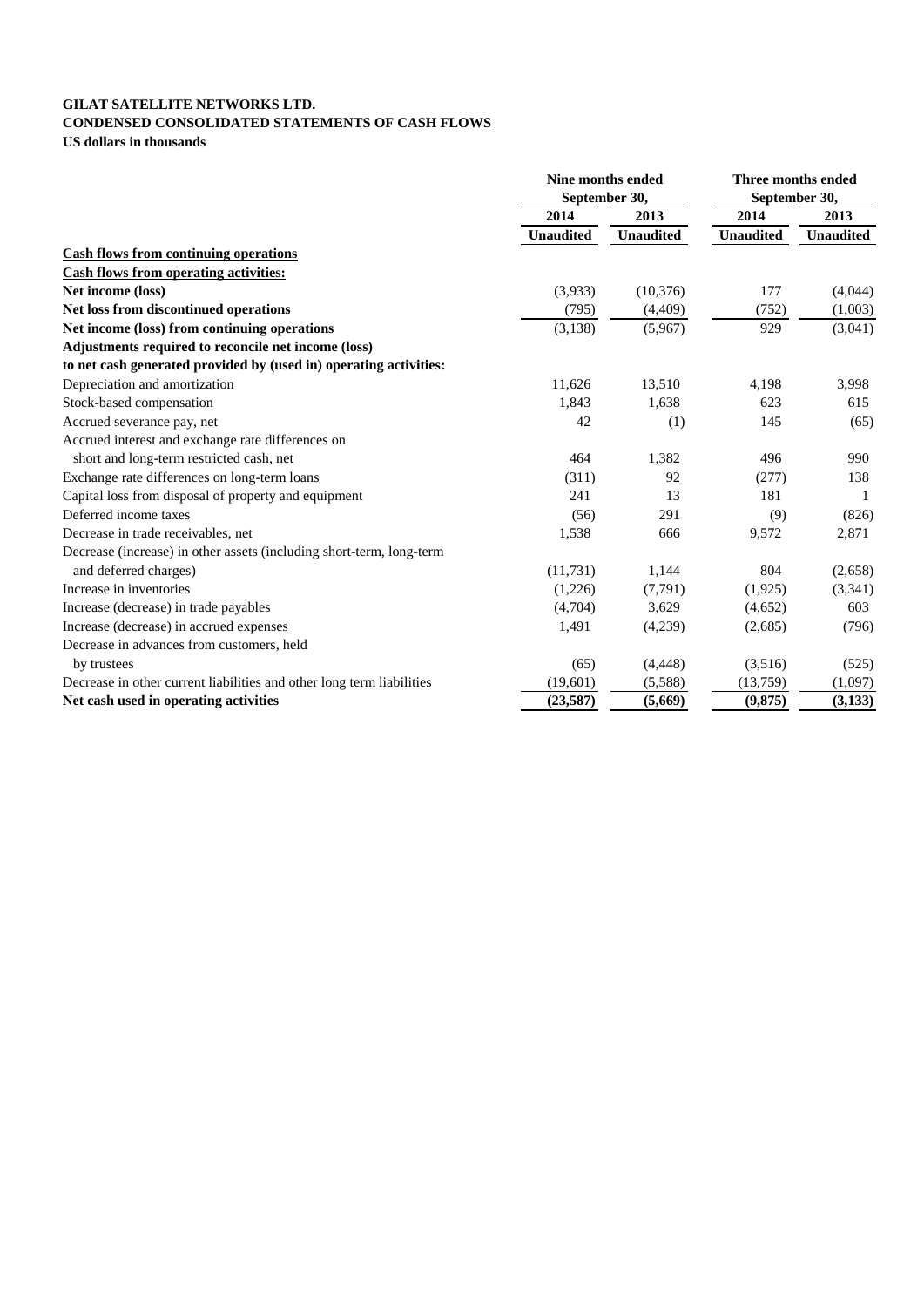## **GILAT SATELLITE NETWORKS LTD. CONDENSED CONSOLIDATED STATEMENTS OF CASH FLOWS US dollars in thousands**

|                                                                       | Nine months ended<br>September 30, |                  | Three months ended |                  |
|-----------------------------------------------------------------------|------------------------------------|------------------|--------------------|------------------|
|                                                                       |                                    |                  | September 30,      |                  |
|                                                                       | 2014                               | 2013             | 2014               | 2013             |
|                                                                       | <b>Unaudited</b>                   | <b>Unaudited</b> | <b>Unaudited</b>   | <b>Unaudited</b> |
| <b>Cash flows from continuing operations</b>                          |                                    |                  |                    |                  |
| <b>Cash flows from operating activities:</b>                          |                                    |                  |                    |                  |
| Net income (loss)                                                     | (3,933)                            | (10, 376)        | 177                | (4,044)          |
| Net loss from discontinued operations                                 | (795)                              | (4,409)          | (752)              | (1,003)          |
| Net income (loss) from continuing operations                          | (3, 138)                           | (5,967)          | 929                | (3,041)          |
| Adjustments required to reconcile net income (loss)                   |                                    |                  |                    |                  |
| to net cash generated provided by (used in) operating activities:     |                                    |                  |                    |                  |
| Depreciation and amortization                                         | 11,626                             | 13,510           | 4,198              | 3,998            |
| Stock-based compensation                                              | 1,843                              | 1,638            | 623                | 615              |
| Accrued severance pay, net                                            | 42                                 | (1)              | 145                | (65)             |
| Accrued interest and exchange rate differences on                     |                                    |                  |                    |                  |
| short and long-term restricted cash, net                              | 464                                | 1,382            | 496                | 990              |
| Exchange rate differences on long-term loans                          | (311)                              | 92               | (277)              | 138              |
| Capital loss from disposal of property and equipment                  | 241                                | 13               | 181                |                  |
| Deferred income taxes                                                 | (56)                               | 291              | (9)                | (826)            |
| Decrease in trade receivables, net                                    | 1,538                              | 666              | 9,572              | 2,871            |
| Decrease (increase) in other assets (including short-term, long-term  |                                    |                  |                    |                  |
| and deferred charges)                                                 | (11, 731)                          | 1,144            | 804                | (2,658)          |
| Increase in inventories                                               | (1,226)                            | (7,791)          | (1,925)            | (3, 341)         |
| Increase (decrease) in trade payables                                 | (4,704)                            | 3,629            | (4,652)            | 603              |
| Increase (decrease) in accrued expenses                               | 1,491                              | (4,239)          | (2,685)            | (796)            |
| Decrease in advances from customers, held                             |                                    |                  |                    |                  |
| by trustees                                                           | (65)                               | (4, 448)         | (3,516)            | (525)            |
| Decrease in other current liabilities and other long term liabilities | (19,601)                           | (5,588)          | (13,759)           | (1,097)          |
| Net cash used in operating activities                                 | (23,587)                           | (5,669)          | (9, 875)           | (3,133)          |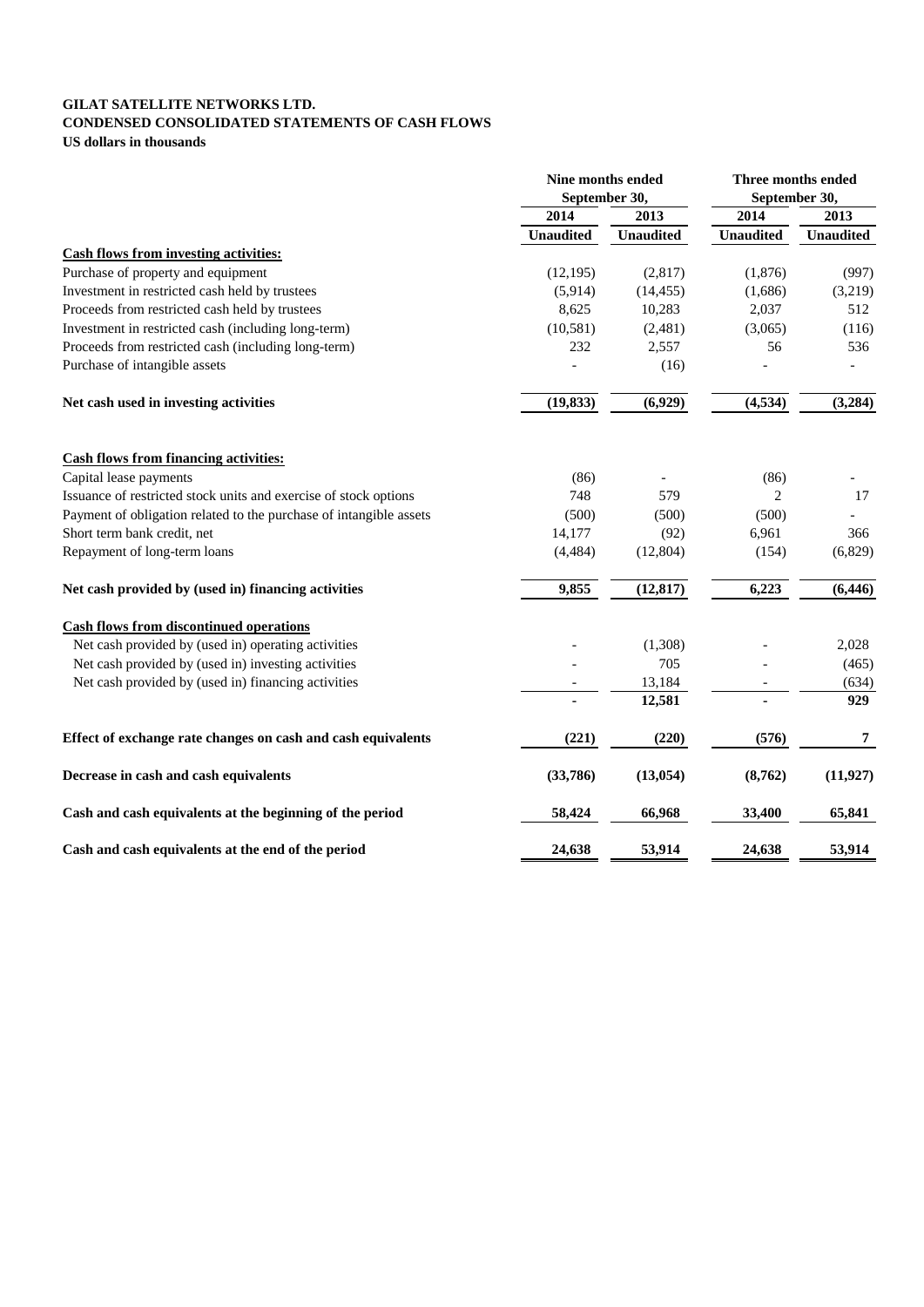## **GILAT SATELLITE NETWORKS LTD. CONDENSED CONSOLIDATED STATEMENTS OF CASH FLOWS US dollars in thousands**

|                                                                    | Nine months ended<br>September 30, |                  | Three months ended<br>September 30, |                  |
|--------------------------------------------------------------------|------------------------------------|------------------|-------------------------------------|------------------|
|                                                                    | 2014<br>2013                       |                  | 2014                                | 2013             |
|                                                                    | <b>Unaudited</b>                   | <b>Unaudited</b> | <b>Unaudited</b>                    | <b>Unaudited</b> |
| <b>Cash flows from investing activities:</b>                       |                                    |                  |                                     |                  |
| Purchase of property and equipment                                 | (12, 195)                          | (2,817)          | (1,876)                             | (997)            |
| Investment in restricted cash held by trustees                     | (5,914)                            | (14, 455)        | (1,686)                             | (3,219)          |
| Proceeds from restricted cash held by trustees                     | 8,625                              | 10,283           | 2,037                               | 512              |
| Investment in restricted cash (including long-term)                | (10, 581)                          | (2,481)          | (3,065)                             | (116)            |
| Proceeds from restricted cash (including long-term)                | 232                                | 2,557            | 56                                  | 536              |
| Purchase of intangible assets                                      |                                    | (16)             |                                     |                  |
| Net cash used in investing activities                              | (19, 833)                          | (6,929)          | (4, 534)                            | (3,284)          |
| <b>Cash flows from financing activities:</b>                       |                                    |                  |                                     |                  |
| Capital lease payments                                             | (86)                               |                  | (86)                                |                  |
| Issuance of restricted stock units and exercise of stock options   | 748                                | 579              | 2                                   | 17               |
| Payment of obligation related to the purchase of intangible assets | (500)                              | (500)            | (500)                               |                  |
| Short term bank credit, net                                        | 14,177                             | (92)             | 6,961                               | 366              |
| Repayment of long-term loans                                       | (4, 484)                           | (12, 804)        | (154)                               | (6,829)          |
| Net cash provided by (used in) financing activities                | 9,855                              | (12, 817)        | 6,223                               | (6, 446)         |
| <b>Cash flows from discontinued operations</b>                     |                                    |                  |                                     |                  |
| Net cash provided by (used in) operating activities                |                                    | (1,308)          |                                     | 2,028            |
| Net cash provided by (used in) investing activities                |                                    | 705              |                                     | (465)            |
| Net cash provided by (used in) financing activities                |                                    | 13,184           |                                     | (634)            |
|                                                                    |                                    | 12,581           |                                     | 929              |
| Effect of exchange rate changes on cash and cash equivalents       | (221)                              | (220)            | (576)                               | $\boldsymbol{7}$ |
| Decrease in cash and cash equivalents                              | (33,786)                           | (13, 054)        | (8,762)                             | (11, 927)        |
| Cash and cash equivalents at the beginning of the period           | 58,424                             | 66,968           | 33,400                              | 65,841           |
| Cash and cash equivalents at the end of the period                 | 24,638                             | 53,914           | 24,638                              | 53,914           |